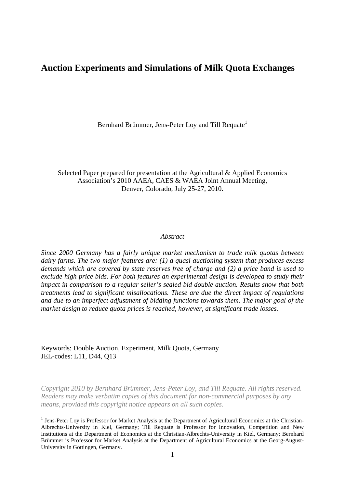## **Auction Experiments and Simulations of Milk Quota Exchanges**

Bernhard Brümmer, Jens-Peter Lov and Till Requate<sup>1</sup>

Selected Paper prepared for presentation at the Agricultural & Applied Economics Association's 2010 AAEA, CAES & WAEA Joint Annual Meeting, Denver, Colorado, July 25-27, 2010.

#### *Abstract*

*Since 2000 Germany has a fairly unique market mechanism to trade milk quotas between dairy farms. The two major features are: (1) a quasi auctioning system that produces excess demands which are covered by state reserves free of charge and (2) a price band is used to exclude high price bids. For both features an experimental design is developed to study their impact in comparison to a regular seller's sealed bid double auction. Results show that both treatments lead to significant misallocations. These are due the direct impact of regulations and due to an imperfect adjustment of bidding functions towards them. The major goal of the market design to reduce quota prices is reached, however, at significant trade losses.* 

Keywords: Double Auction, Experiment, Milk Quota, Germany JEL-codes: L11, D44, Q13

<u>.</u>

*Copyright 2010 by Bernhard Brümmer, Jens-Peter Loy, and Till Requate. All rights reserved. Readers may make verbatim copies of this document for non-commercial purposes by any means, provided this copyright notice appears on all such copies.* 

<sup>&</sup>lt;sup>1</sup> Jens-Peter Loy is Professor for Market Analysis at the Department of Agricultural Economics at the Christian-Albrechts-University in Kiel, Germany; Till Requate is Professor for Innovation, Competition and New Institutions at the Department of Economics at the Christian-Albrechts-University in Kiel, Germany; Bernhard Brümmer is Professor for Market Analysis at the Department of Agricultural Economics at the Georg-August-University in Göttingen, Germany.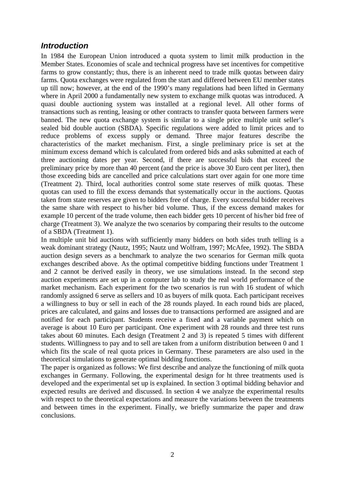#### *Introduction*

In 1984 the European Union introduced a quota system to limit milk production in the Member States. Economies of scale and technical progress have set incentives for competitive farms to grow constantly; thus, there is an inherent need to trade milk quotas between dairy farms. Quota exchanges were regulated from the start and differed between EU member states up till now; however, at the end of the 1990's many regulations had been lifted in Germany where in April 2000 a fundamentally new system to exchange milk quotas was introduced. A quasi double auctioning system was installed at a regional level. All other forms of transactions such as renting, leasing or other contracts to transfer quota between farmers were banned. The new quota exchange system is similar to a single price multiple unit seller's sealed bid double auction (SBDA). Specific regulations were added to limit prices and to reduce problems of excess supply or demand. Three major features describe the characteristics of the market mechanism. First, a single preliminary price is set at the minimum excess demand which is calculated from ordered bids and asks submitted at each of three auctioning dates per year. Second, if there are successful bids that exceed the preliminary price by more than 40 percent (and the price is above 30 Euro cent per liter), then those exceeding bids are cancelled and price calculations start over again for one more time (Treatment 2). Third, local authorities control some state reserves of milk quotas. These quotas can used to fill the excess demands that systematically occur in the auctions. Quotas taken from state reserves are given to bidders free of charge. Every successful bidder receives the same share with respect to his/her bid volume. Thus, if the excess demand makes for example 10 percent of the trade volume, then each bidder gets 10 percent of his/her bid free of charge (Treatment 3). We analyze the two scenarios by comparing their results to the outcome of a SBDA (Treatment 1).

In multiple unit bid auctions with sufficiently many bidders on both sides truth telling is a weak dominant strategy (Nautz, 1995; Nautz und Wolfram, 1997; McAfee, 1992). The SBDA auction design severs as a benchmark to analyze the two scenarios for German milk quota exchanges described above. As the optimal competitive bidding functions under Treatment 1 and 2 cannot be derived easily in theory, we use simulations instead. In the second step auction experiments are set up in a computer lab to study the real world performance of the market mechanism. Each experiment for the two scenarios is run with 16 student of which randomly assigned 6 serve as sellers and 10 as buyers of milk quota. Each participant receives a willingness to buy or sell in each of the 28 rounds played. In each round bids are placed, prices are calculated, and gains and losses due to transactions performed are assigned and are notified for each participant. Students receive a fixed and a variable payment which on average is about 10 Euro per participant. One experiment with 28 rounds and three test runs takes about 60 minutes. Each design (Treatment 2 and 3) is repeated 5 times with different students. Willingness to pay and to sell are taken from a uniform distribution between 0 and 1 which fits the scale of real quota prices in Germany. These parameters are also used in the theoretical simulations to generate optimal bidding functions.

The paper is organized as follows: We first describe and analyze the functioning of milk quota exchanges in Germany. Following, the experimental design for ht three treatments used is developed and the experimental set up is explained. In section 3 optimal bidding behavior and expected results are derived and discussed. In section 4 we analyze the experimental results with respect to the theoretical expectations and measure the variations between the treatments and between times in the experiment. Finally, we briefly summarize the paper and draw conclusions.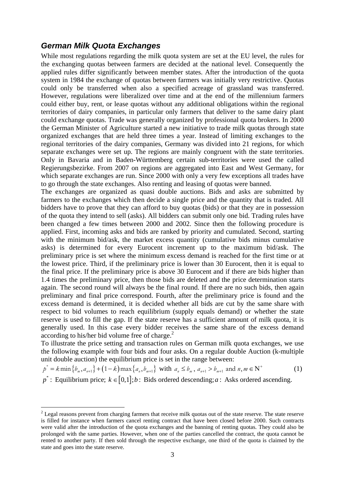#### *German Milk Quota Exchanges*

While most regulations regarding the milk quota system are set at the EU level, the rules for the exchanging quotas between farmers are decided at the national level. Consequently the applied rules differ significantly between member states. After the introduction of the quota system in 1984 the exchange of quotas between farmers was initially very restrictive. Quotas could only be transferred when also a specified acreage of grassland was transferred. However, regulations were liberalized over time and at the end of the millennium farmers could either buy, rent, or lease quotas without any additional obligations within the regional territories of dairy companies, in particular only farmers that deliver to the same dairy plant could exchange quotas. Trade was generally organized by professional quota brokers. In 2000 the German Minister of Agriculture started a new initiative to trade milk quotas through state organized exchanges that are held three times a year. Instead of limiting exchanges to the regional territories of the dairy companies, Germany was divided into 21 regions, for which separate exchanges were set up. The regions are mainly congruent with the state territories. Only in Bavaria and in Baden-Württemberg certain sub-territories were used the called Regierungsbezirke. From 2007 on regions are aggregated into East and West Germany, for which separate exchanges are run. Since 2000 with only a very few exceptions all trades have to go through the state exchanges. Also renting and leasing of quotas were banned.

The exchanges are organized as quasi double auctions. Bids and asks are submitted by farmers to the exchanges which then decide a single price and the quantity that is traded. All bidders have to prove that they can afford to buy quotas (bids) or that they are in possession of the quota they intend to sell (asks). All bidders can submit only one bid. Trading rules have been changed a few times between 2000 and 2002. Since then the following procedure is applied. First, incoming asks and bids are ranked by priority and cumulated. Second, starting with the minimum bid/ask, the market excess quantity (cumulative bids minus cumulative asks) is determined for every Eurocent increment up to the maximum bid/ask. The preliminary price is set where the minimum excess demand is reached for the first time or at the lowest price. Third, if the preliminary price is lower than 30 Eurocent, then it is equal to the final price. If the preliminary price is above 30 Eurocent and if there are bids higher than 1.4 times the preliminary price, then those bids are deleted and the price determination starts again. The second round will always be the final round. If there are no such bids, then again preliminary and final price correspond. Fourth, after the preliminary price is found and the excess demand is determined, it is decided whether all bids are cut by the same share with respect to bid volumes to reach equilibrium (supply equals demand) or whether the state reserve is used to fill the gap. If the state reserve has a sufficient amount of milk quota, it is generally used. In this case every bidder receives the same share of the excess demand according to his/her bid volume free of charge. $<sup>2</sup>$ </sup>

To illustrate the price setting and transaction rules on German milk quota exchanges, we use the following example with four bids and four asks. On a regular double Auction (k-multiple unit double auction) the equilibrium price is set in the range between:

$$
p^* = k \min \{b_m, a_{n+1}\} + (1 - k) \max \{a_n, b_{m+1}\} \text{ with } a_n \le b_m, a_{n+1} > b_{m+1} \text{ and } n, m \in \mathbb{N}^+ \tag{1}
$$

 $p^*$ : Equilibrium price;  $k \in [0,1]$ ; *b*: Bids ordered descending; *a*: Asks ordered ascending.

1

 $2$  Legal reasons prevent from charging farmers that receive milk quotas out of the state reserve. The state reserve is filled for instance when farmers cancel renting contract that have been closed before 2000. Such contracts were valid after the introduction of the quota exchanges and the banning of renting quotas. They could also be prolonged with the same parties. However, when one of the parties cancelled the contract, the quota cannot be rented to another party. If then sold through the respective exchange, one third of the quota is claimed by the state and goes into the state reserve.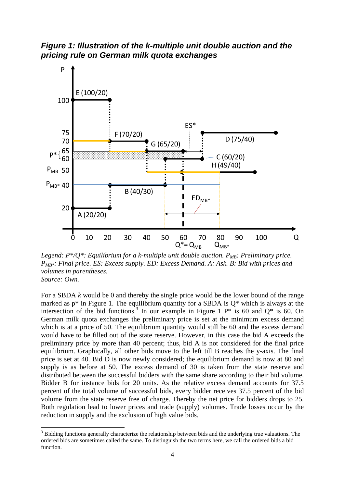*Figure 1: Illustration of the k-multiple unit double auction and the pricing rule on German milk quota exchanges* 



*Legend: P\*/Q\*: Equilibrium for a k-multiple unit double auction.*  $P_{MB}$ *: Preliminary price. PMB\*: Final price. ES: Excess supply. ED: Excess Demand. A: Ask. B: Bid with prices and volumes in parentheses. Source: Own.* 

For a SBDA *k* would be 0 and thereby the single price would be the lower bound of the range marked as  $p^*$  in Figure 1. The equilibrium quantity for a SBDA is  $Q^*$  which is always at the intersection of the bid functions.<sup>3</sup> In our example in Figure 1  $P^*$  is 60 and  $Q^*$  is 60. On German milk quota exchanges the preliminary price is set at the minimum excess demand which is at a price of 50. The equilibrium quantity would still be 60 and the excess demand would have to be filled out of the state reserve. However, in this case the bid A exceeds the preliminary price by more than 40 percent; thus, bid A is not considered for the final price equilibrium. Graphically, all other bids move to the left till B reaches the y-axis. The final price is set at 40. Bid D is now newly considered; the equilibrium demand is now at 80 and supply is as before at 50. The excess demand of 30 is taken from the state reserve and distributed between the successful bidders with the same share according to their bid volume. Bidder B for instance bids for 20 units. As the relative excess demand accounts for 37.5 percent of the total volume of successful bids, every bidder receives 37.5 percent of the bid volume from the state reserve free of charge. Thereby the net price for bidders drops to 25. Both regulation lead to lower prices and trade (supply) volumes. Trade losses occur by the reduction in supply and the exclusion of high value bids.

1

 $3$  Bidding functions generally characterize the relationship between bids and the underlying true valuations. The ordered bids are sometimes called the same. To distinguish the two terms here, we call the ordered bids a bid function.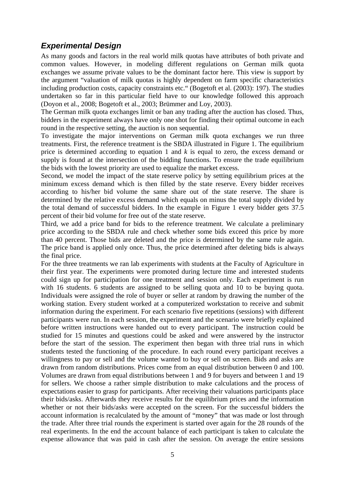### *Experimental Design*

As many goods and factors in the real world milk quotas have attributes of both private and common values. However, in modeling different regulations on German milk quota exchanges we assume private values to be the dominant factor here. This view is support by the argument "valuation of milk quotas is highly dependent on farm specific characteristics including production costs, capacity constraints etc." (Bogetoft et al. (2003): 197). The studies undertaken so far in this particular field have to our knowledge followed this approach (Doyon et al., 2008; Bogetoft et al., 2003; Brümmer and Loy, 2003).

The German milk quota exchanges limit or ban any trading after the auction has closed. Thus, bidders in the experiment always have only one shot for finding their optimal outcome in each round in the respective setting, the auction is non sequential.

To investigate the major interventions on German milk quota exchanges we run three treatments. First, the reference treatment is the SBDA illustrated in Figure 1. The equilibrium price is determined according to equation 1 and *k* is equal to zero, the excess demand or supply is found at the intersection of the bidding functions. To ensure the trade equilibrium the bids with the lowest priority are used to equalize the market excess.

Second, we model the impact of the state reserve policy by setting equilibrium prices at the minimum excess demand which is then filled by the state reserve. Every bidder receives according to his/her bid volume the same share out of the state reserve. The share is determined by the relative excess demand which equals on minus the total supply divided by the total demand of successful bidders. In the example in Figure 1 every bidder gets 37.5 percent of their bid volume for free out of the state reserve.

Third, we add a price band for bids to the reference treatment. We calculate a preliminary price according to the SBDA rule and check whether some bids exceed this price by more than 40 percent. Those bids are deleted and the price is determined by the same rule again. The price band is applied only once. Thus, the price determined after deleting bids is always the final price.

For the three treatments we ran lab experiments with students at the Faculty of Agriculture in their first year. The experiments were promoted during lecture time and interested students could sign up for participation for one treatment and session only. Each experiment is run with 16 students. 6 students are assigned to be selling quota and 10 to be buying quota. Individuals were assigned the role of buyer or seller at random by drawing the number of the working station. Every student worked at a computerized workstation to receive and submit information during the experiment. For each scenario five repetitions (sessions) with different participants were run. In each session, the experiment and the scenario were briefly explained before written instructions were handed out to every participant. The instruction could be studied for 15 minutes and questions could be asked and were answered by the instructor before the start of the session. The experiment then began with three trial runs in which students tested the functioning of the procedure. In each round every participant receives a willingness to pay or sell and the volume wanted to buy or sell on screen. Bids and asks are drawn from random distributions. Prices come from an equal distribution between 0 and 100. Volumes are drawn from equal distributions between 1 and 9 for buyers and between 1 and 19 for sellers. We choose a rather simple distribution to make calculations and the process of expectations easier to grasp for participants. After receiving their valuations participants place their bids/asks. Afterwards they receive results for the equilibrium prices and the information whether or not their bids/asks were accepted on the screen. For the successful bidders the account information is recalculated by the amount of "money" that was made or lost through the trade. After three trial rounds the experiment is started over again for the 28 rounds of the real experiments. In the end the account balance of each participant is taken to calculate the expense allowance that was paid in cash after the session. On average the entire sessions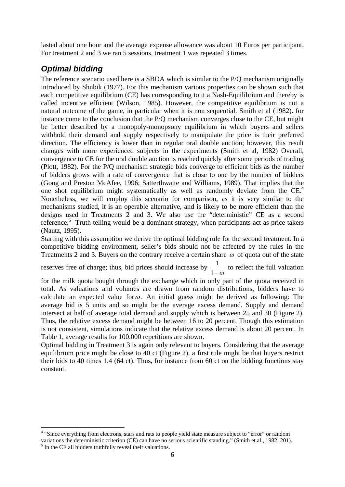lasted about one hour and the average expense allowance was about 10 Euros per participant. For treatment 2 and 3 we ran 5 sessions, treatment 1 was repeated 3 times.

# *Optimal bidding*

The reference scenario used here is a SBDA which is similar to the P/Q mechanism originally introduced by Shubik (1977). For this mechanism various properties can be shown such that each competitive equilibrium (CE) has corresponding to it a Nash-Equilibrium and thereby is called incentive efficient (Wilson, 1985). However, the competitive equilibrium is not a natural outcome of the game, in particular when it is non sequential. Smith et al (1982). for instance come to the conclusion that the P/Q mechanism converges close to the CE, but might be better described by a monopoly-monopsony equilibrium in which buyers and sellers withhold their demand and supply respectively to manipulate the price is their preferred direction. The efficiency is lower than in regular oral double auction; however, this result changes with more experienced subjects in the experiments (Smith et al, 1982) Overall, convergence to CE for the oral double auction is reached quickly after some periods of trading (Plott, 1982). For the P/Q mechanism strategic bids converge to efficient bids as the number of bidders grows with a rate of convergence that is close to one by the number of bidders (Gong and Preston McAfee, 1996; Satterthwaite and Williams, 1989). That implies that the one shot equilibrium might systematically as well as randomly deviate from the CE.<sup>4</sup> Nonetheless, we will employ this scenario for comparison, as it is very similar to the mechanisms studied, it is an operable alternative, and is likely to be more efficient than the designs used in Treatments 2 and 3. We also use the "deterministic" CE as a second reference.<sup>5</sup> Truth telling would be a dominant strategy, when participants act as price takers (Nautz, 1995).

Starting with this assumption we derive the optimal bidding rule for the second treatment. In a competitive bidding environment, seller's bids should not be affected by the rules in the Treatments 2 and 3. Buyers on the contrary receive a certain share  $\omega$  of quota out of the state

reserves free of charge; thus, bid prices should increase by  $\frac{1}{1}$  $1-\omega$ to reflect the full valuation

for the milk quota bought through the exchange which in only part of the quota received in total. As valuations and volumes are drawn from random distributions, bidders have to calculate an expected value for  $\omega$ . An initial guess might be derived as following: The average bid is 5 units and so might be the average excess demand. Supply and demand intersect at half of average total demand and supply which is between 25 and 30 (Figure 2). Thus, the relative excess demand might be between 16 to 20 percent. Though this estimation is not consistent, simulations indicate that the relative excess demand is about 20 percent. In Table 1, average results for 100.000 repetitions are shown.

Optimal bidding in Treatment 3 is again only relevant to buyers. Considering that the average equilibrium price might be close to 40 ct (Figure 2), a first rule might be that buyers restrict their bids to 40 times 1.4 (64 ct). Thus, for instance from 60 ct on the bidding functions stay constant.

<sup>&</sup>lt;sup>4</sup> "Since everything from electrons, stars and rats to people yield state measure subject to "error" or random variations the deterministic criterion (CE) can have no serious scientific standing." (Smith et al., 1982: 201). <sup>5</sup> In the CE all bidders truthfully reveal their valuations.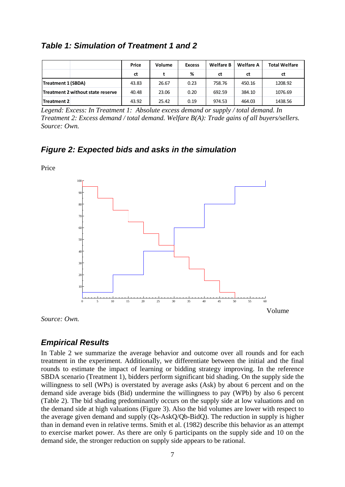| <b>Table 1: Simulation of Treatment 1 and 2</b> |  |
|-------------------------------------------------|--|
|-------------------------------------------------|--|

|                                   | Price | Volume | <b>Excess</b> | <b>Welfare B</b> | <b>Welfare A</b> | <b>Total Welfare</b> |
|-----------------------------------|-------|--------|---------------|------------------|------------------|----------------------|
|                                   | ct    |        | %             | ct               | ct               | ct                   |
| Treatment 1 (SBDA)                | 43.83 | 26.67  | 0.23          | 758.76           | 450.16           | 1208.92              |
| Treatment 2 without state reserve | 40.48 | 23.06  | 0.20          | 692.59           | 384.10           | 1076.69              |
| Treatment 2                       | 43.92 | 25.42  | 0.19          | 974.53           | 464.03           | 1438.56              |

*Legend: Excess: In Treatment 1: Absolute excess demand or supply / total demand. In Treatment 2: Excess demand / total demand. Welfare B(A): Trade gains of all buyers/sellers. Source: Own.* 

### *Figure 2: Expected bids and asks in the simulation*

Price



*Source: Own.* 

### *Empirical Results*

In Table 2 we summarize the average behavior and outcome over all rounds and for each treatment in the experiment. Additionally, we differentiate between the initial and the final rounds to estimate the impact of learning or bidding strategy improving. In the reference SBDA scenario (Treatment 1), bidders perform significant bid shading. On the supply side the willingness to sell (WPs) is overstated by average asks (Ask) by about 6 percent and on the demand side average bids (Bid) undermine the willingness to pay (WPb) by also 6 percent (Table 2). The bid shading predominantly occurs on the supply side at low valuations and on the demand side at high valuations (Figure 3). Also the bid volumes are lower with respect to the average given demand and supply (Qs-AskQ/Qb-BidQ). The reduction in supply is higher than in demand even in relative terms. Smith et al. (1982) describe this behavior as an attempt to exercise market power. As there are only 6 participants on the supply side and 10 on the demand side, the stronger reduction on supply side appears to be rational.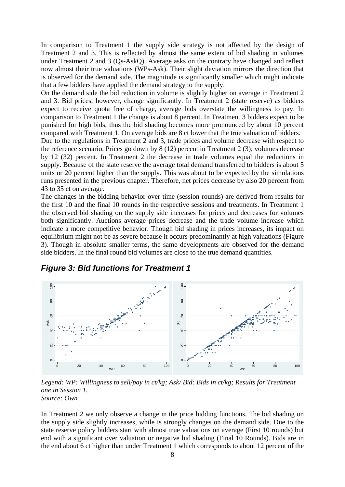In comparison to Treatment 1 the supply side strategy is not affected by the design of Treatment 2 and 3. This is reflected by almost the same extent of bid shading in volumes under Treatment 2 and 3 (Qs-AskQ). Average asks on the contrary have changed and reflect now almost their true valuations (WPs-Ask). Their slight deviation mirrors the direction that is observed for the demand side. The magnitude is significantly smaller which might indicate that a few bidders have applied the demand strategy to the supply.

On the demand side the bid reduction in volume is slightly higher on average in Treatment 2 and 3. Bid prices, however, change significantly. In Treatment 2 (state reserve) as bidders expect to receive quota free of charge, average bids overstate the willingness to pay. In comparison to Treatment 1 the change is about 8 percent. In Treatment 3 bidders expect to be punished for high bids; thus the bid shading becomes more pronounced by about 10 percent compared with Treatment 1. On average bids are 8 ct lower that the true valuation of bidders.

Due to the regulations in Treatment 2 and 3, trade prices and volume decrease with respect to the reference scenario. Prices go down by 8 (12) percent in Treatment 2 (3); volumes decrease by 12 (32) percent. In Treatment 2 the decrease in trade volumes equal the reductions in supply. Because of the state reserve the average total demand transferred to bidders is about 5 units or 20 percent higher than the supply. This was about to be expected by the simulations runs presented in the previous chapter. Therefore, net prices decrease by also 20 percent from 43 to 35 ct on average.

The changes in the bidding behavior over time (session rounds) are derived from results for the first 10 and the final 10 rounds in the respective sessions and treatments. In Treatment 1 the observed bid shading on the supply side increases for prices and decreases for volumes both significantly. Auctions average prices decrease and the trade volume increase which indicate a more competitive behavior. Though bid shading in prices increases, its impact on equilibrium might not be as severe because it occurs predominantly at high valuations (Figure 3). Though in absolute smaller terms, the same developments are observed for the demand side bidders. In the final round bid volumes are close to the true demand quantities.



*Figure 3: Bid functions for Treatment 1* 

*Legend: WP: Willingness to sell/pay in ct/kg; Ask/ Bid: Bids in ct/kg; Results for Treatment one in Session 1. Source: Own.* 

In Treatment 2 we only observe a change in the price bidding functions. The bid shading on the supply side slightly increases, while is strongly changes on the demand side. Due to the state reserve policy bidders start with almost true valuations on average (First 10 rounds) but end with a significant over valuation or negative bid shading (Final 10 Rounds). Bids are in the end about 6 ct higher than under Treatment 1 which corresponds to about 12 percent of the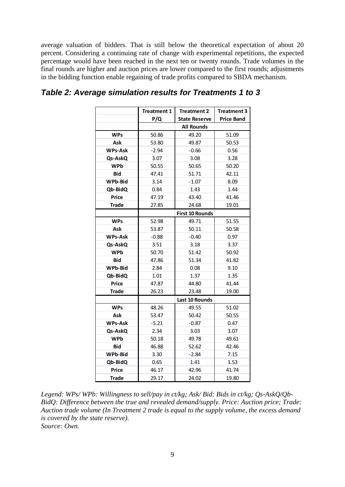average valuation of bidders. That is still below the theoretical expectation of about 20 percent. Considering a continuing rate of change with experimental repetitions, the expected percentage would have been reached in the next ten or twenty rounds. Trade volumes in the final rounds are higher and auction prices are lower compared to the first rounds; adjustments in the bidding function enable regaining of trade profits compared to SBDA mechanism.

|                | <b>Treatment 1</b>     | <b>Treatment 2</b>   | <b>Treatment 3</b> |  |  |  |
|----------------|------------------------|----------------------|--------------------|--|--|--|
|                | P/Q                    | <b>State Reserve</b> | <b>Price Band</b>  |  |  |  |
|                |                        | <b>All Rounds</b>    |                    |  |  |  |
| <b>WPs</b>     | 50.86                  | 49.20                | 51.09              |  |  |  |
| Ask            | 53.80                  | 49.87                | 50.53              |  |  |  |
| <b>WPs-Ask</b> | $-2.94$                | $-0.66$              | 0.56               |  |  |  |
| Qs-AskQ        | 3.07                   | 3.08                 | 3.28               |  |  |  |
| <b>WPb</b>     | 50.55                  | 50.65                | 50.20              |  |  |  |
| <b>Bid</b>     | 47.41                  | 51.71                | 42.11              |  |  |  |
| WPb-Bid        | 3.14                   | $-1.07$              | 8.09               |  |  |  |
| Qb-BidQ        | 0.84                   | 1.43                 | 1.44               |  |  |  |
| Price          | 47.19                  | 43.40                | 41.46              |  |  |  |
| <b>Trade</b>   | 27.85                  | 24.68                | 19.01              |  |  |  |
|                | <b>First 10 Rounds</b> |                      |                    |  |  |  |
| <b>WPs</b>     | 52.98                  | 49.71                | 51.55              |  |  |  |
| Ask            | 53.87                  | 50.11                | 50.58              |  |  |  |
| <b>WPs-Ask</b> | $-0.88$                | $-0.40$              | 0.97               |  |  |  |
| Qs-AskQ        | 3.51                   | 3.18                 | 3.37               |  |  |  |
| <b>WPb</b>     | 50.70                  | 51.42                | 50.92              |  |  |  |
| Bid            | 47.86                  | 51.34                | 41.82              |  |  |  |
| WPb-Bid        | 2.84                   | 0.08                 | 9.10               |  |  |  |
| Qb-BidQ        | 1.01                   | 1.37                 | 1.35               |  |  |  |
| Price          | 47.87                  | 44.80                | 41.44              |  |  |  |
| <b>Trade</b>   | 26.23                  | 23.48                | 19.00              |  |  |  |
|                | <b>Last 10 Rounds</b>  |                      |                    |  |  |  |
| <b>WPs</b>     | 48.26                  | 49.55                | 51.02              |  |  |  |
| Ask            | 53.47                  | 50.42                | 50.55              |  |  |  |
| <b>WPs-Ask</b> | $-5.21$                | $-0.87$              | 0.47               |  |  |  |
| Qs-AskQ        | 2.34                   | 3.03                 | 3.07               |  |  |  |
| <b>WPb</b>     | 50.18                  | 49.78                | 49.61              |  |  |  |
| <b>Bid</b>     | 46.88                  | 52.62                | 42.46              |  |  |  |
| WPb-Bid        | 3.30                   | $-2.84$              | 7.15               |  |  |  |
| Qb-BidQ        | 0.65                   | 1.41                 | 1.53               |  |  |  |
| <b>Price</b>   | 46.17                  | 42.96                | 41.74              |  |  |  |
| <b>Trade</b>   | 29.17                  | 24.02                | 19.80              |  |  |  |

### *Table 2: Average simulation results for Treatments 1 to 3*

*Legend: WPs/ WPb: Willingness to sell/pay in ct/kg; Ask/ Bid: Bids in ct/kg; Qs-AskQ/Qb-BidQ: Difference between the true and revealed demand/supply. Price: Auction price; Trade: Auction trade volume (In Treatment 2 trade is equal to the supply volume, the excess demand is covered by the state reserve). Source: Own.*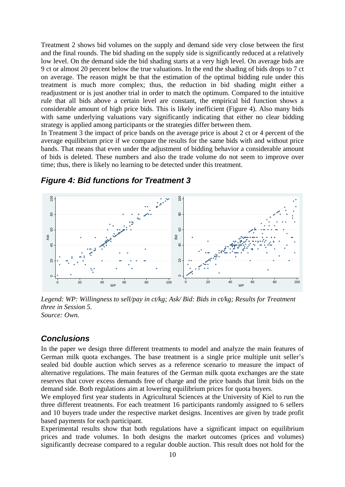Treatment 2 shows bid volumes on the supply and demand side very close between the first and the final rounds. The bid shading on the supply side is significantly reduced at a relatively low level. On the demand side the bid shading starts at a very high level. On average bids are 9 ct or almost 20 percent below the true valuations. In the end the shading of bids drops to 7 ct on average. The reason might be that the estimation of the optimal bidding rule under this treatment is much more complex; thus, the reduction in bid shading might either a readjustment or is just another trial in order to match the optimum. Compared to the intuitive rule that all bids above a certain level are constant, the empirical bid function shows a considerable amount of high price bids. This is likely inefficient (Figure 4). Also many bids with same underlying valuations vary significantly indicating that either no clear bidding strategy is applied among participants or the strategies differ between them.

In Treatment 3 the impact of price bands on the average price is about 2 ct or 4 percent of the average equilibrium price if we compare the results for the same bids with and without price bands. That means that even under the adjustment of bidding behavior a considerable amount of bids is deleted. These numbers and also the trade volume do not seem to improve over time; thus, there is likely no learning to be detected under this treatment.



#### *Figure 4: Bid functions for Treatment 3*

*Legend: WP: Willingness to sell/pay in ct/kg; Ask/ Bid: Bids in ct/kg; Results for Treatment three in Session 5. Source: Own.* 

#### *Conclusions*

In the paper we design three different treatments to model and analyze the main features of German milk quota exchanges. The base treatment is a single price multiple unit seller's sealed bid double auction which serves as a reference scenario to measure the impact of alternative regulations. The main features of the German milk quota exchanges are the state reserves that cover excess demands free of charge and the price bands that limit bids on the demand side. Both regulations aim at lowering equilibrium prices for quota buyers.

We employed first year students in Agricultural Sciences at the University of Kiel to run the three different treatments. For each treatment 16 participants randomly assigned to 6 sellers and 10 buyers trade under the respective market designs. Incentives are given by trade profit based payments for each participant.

Experimental results show that both regulations have a significant impact on equilibrium prices and trade volumes. In both designs the market outcomes (prices and volumes) significantly decrease compared to a regular double auction. This result does not hold for the